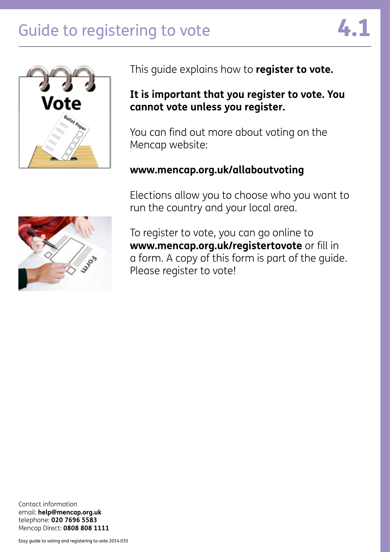# Guide to registering to vote





This guide explains how to **register to vote.**

### **It is important that you register to vote. You cannot vote unless you register.**

You can find out more about voting on the Mencap website:

### **www.mencap.org.uk/allaboutvoting**

Elections allow you to choose who you want to run the country and your local area.



To register to vote, you can go online to **www.mencap.org.uk/registertovote** or fill in a form. A copy of this form is part of the guide. Please register to vote!

Contact information email: **help@mencap.org.uk** telephone: **020 7696 5583** Mencap Direct: **0808 808 1111**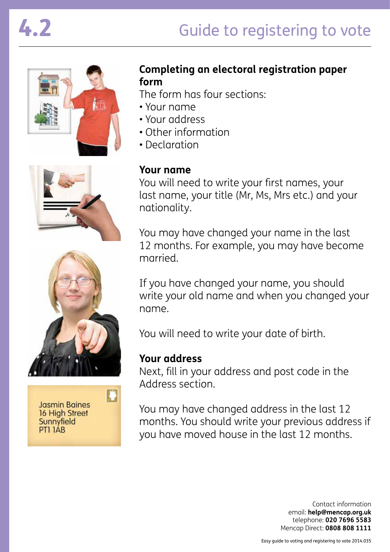





**Jasmin Baines** 16 High Street Sunnyfield PTI IAB

# **Completing an electoral registration paper form**

The form has four sections:

- Your name
- Your address
- Other information
- Declaration

# **Your name**

You will need to write your first names, your last name, your title (Mr, Ms, Mrs etc.) and your nationality.

You may have changed your name in the last 12 months. For example, you may have become married.

If you have changed your name, you should write your old name and when you changed your name.

You will need to write your date of birth.

### **Your address**

Next, fill in your address and post code in the Address section.

You may have changed address in the last 12 months. You should write your previous address if you have moved house in the last 12 months.

> Contact information email: **help@mencap.org.uk** telephone: **020 7696 5583** Mencap Direct: **0808 808 1111**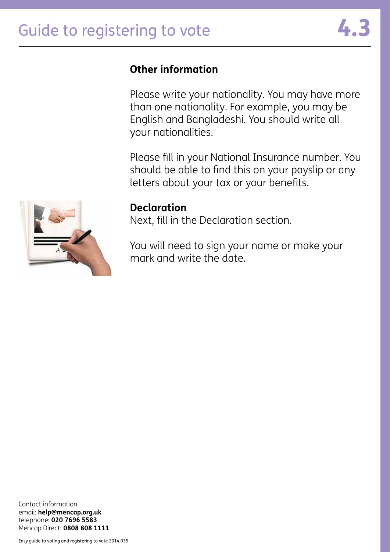# **Other information**

Please write your nationality. You may have more than one nationality. For example, you may be English and Bangladeshi. You should write all your nationalities.

Please fill in your National Insurance number. You should be able to find this on your payslip or any letters about your tax or your benefits.



#### **Declaration**

Next, fill in the Declaration section.

You will need to sign your name or make your mark and write the date.

Contact information email: **help@mencap.org.uk** telephone: **020 7696 5583** Mencap Direct: **0808 808 1111**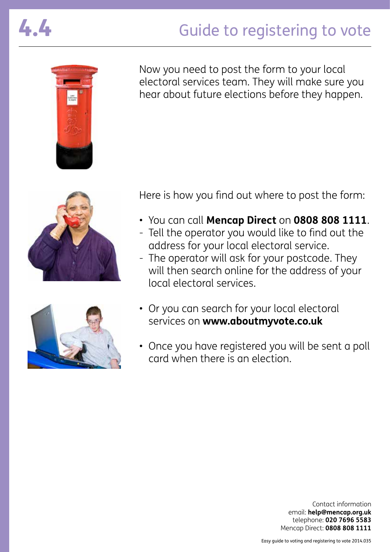# Guide to registering to vote





Now you need to post the form to your local electoral services team. They will make sure you hear about future elections before they happen.





Here is how you find out where to post the form:

- You can call **Mencap Direct** on **0808 808 1111**.
- Tell the operator you would like to find out the address for your local electoral service.
- The operator will ask for your postcode. They will then search online for the address of your local electoral services.
- Or you can search for your local electoral services on **www.aboutmyvote.co.uk**
- Once you have registered you will be sent a poll card when there is an election.

Contact information email: **help@mencap.org.uk** telephone: **020 7696 5583** Mencap Direct: **0808 808 1111**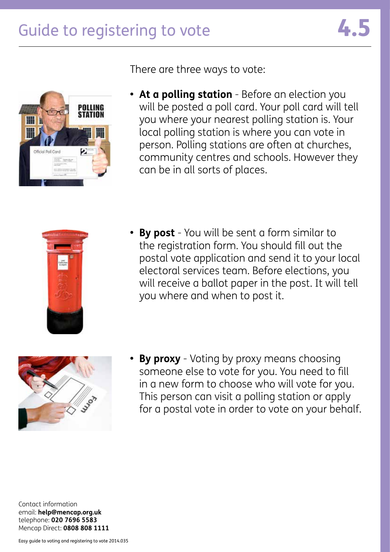



There are three ways to vote:

**• At a polling station** - Before an election you will be posted a poll card. Your poll card will tell you where your nearest polling station is. Your local polling station is where you can vote in person. Polling stations are often at churches, community centres and schools. However they can be in all sorts of places.



**• By post** - You will be sent a form similar to the registration form. You should fill out the postal vote application and send it to your local electoral services team. Before elections, you will receive a ballot paper in the post. It will tell you where and when to post it.



**• By proxy** - Voting by proxy means choosing someone else to vote for you. You need to fill in a new form to choose who will vote for you. This person can visit a polling station or apply for a postal vote in order to vote on your behalf.

Contact information email: **help@mencap.org.uk** telephone: **020 7696 5583** Mencap Direct: **0808 808 1111**